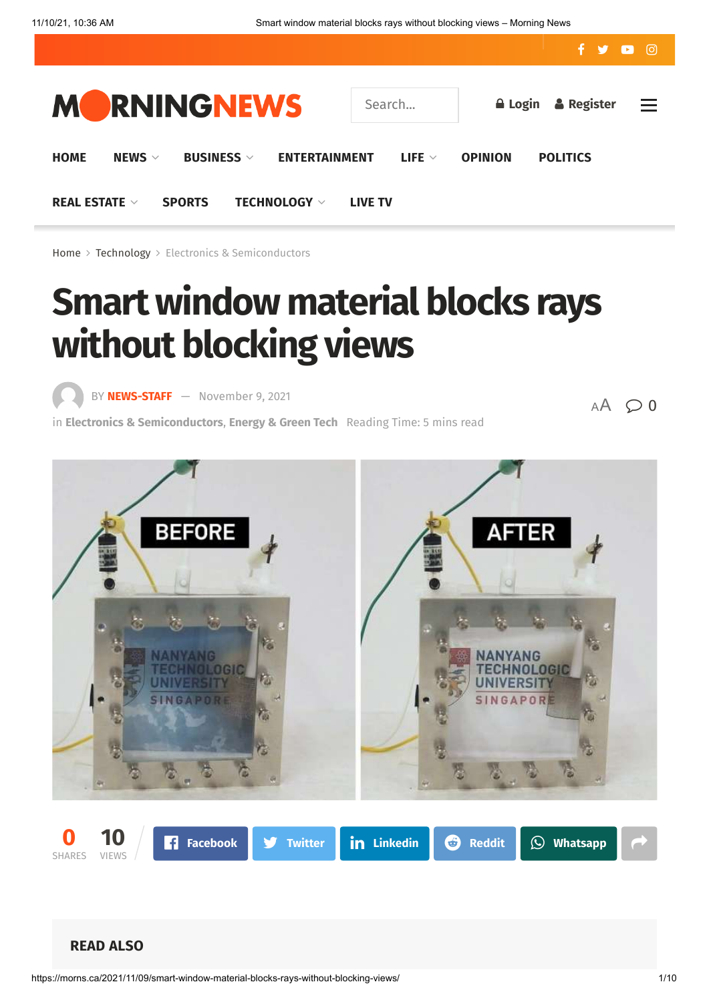

[Home](https://morns.ca/)  $>$  [Technology](https://morns.ca/category/technology/)  $>$  [Electronics & Semiconductors](https://morns.ca/category/technology/electronics-semiconductors/)

# **Smart window material blocks rays without blocking views**

BY **[NEWS-STAFF](https://morns.ca/author/news-staff/)** — [November 9, 2021](https://morns.ca/2021/11/09/smart-window-material-blocks-rays-without-blocking-views/)

in **[Electronics & Semiconductors](https://morns.ca/category/technology/electronics-semiconductors/)**, **[Energy & Green Tech](https://morns.ca/category/technology/electronics-semiconductors/energy-green-tech-electronics-semiconductors/)** Reading Time: 5 mins read

 $AA$   $Q$  0

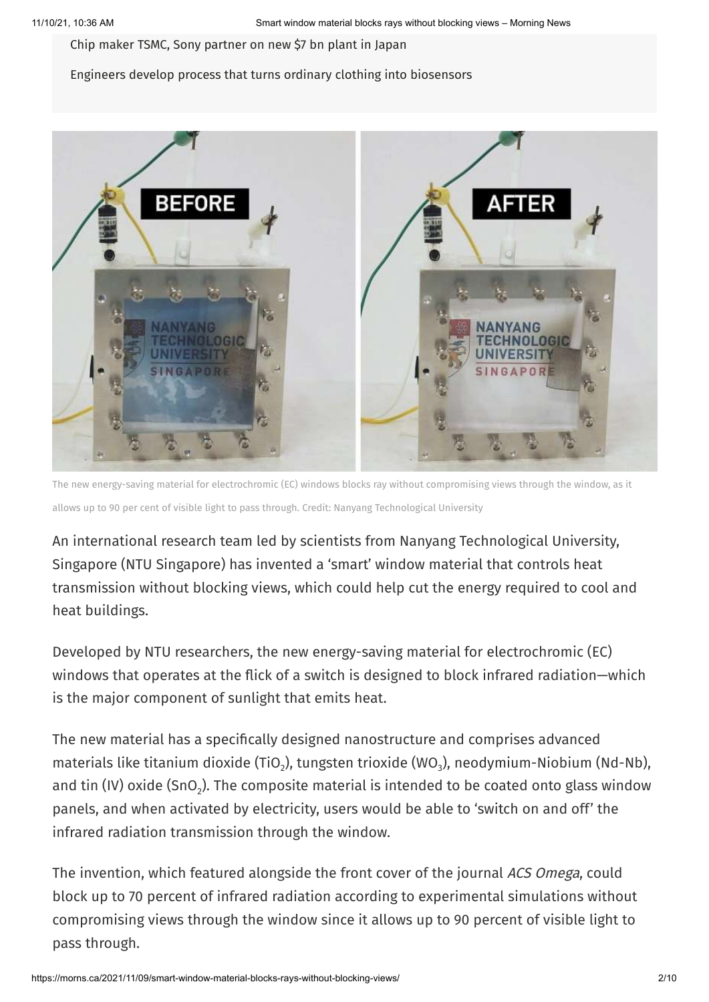Chip maker TSMC, Sony [partner](https://morns.ca/2021/11/09/chip-maker-tsmc-sony-partner-on-new-7-bn-plant-in-japan/) on new \$7 bn plant in Japan

#### Engineers develop process that turns ordinary clothing into [biosensors](https://morns.ca/2021/11/09/engineers-develop-process-that-turns-ordinary-clothing-into-biosensors/)



The new energy-saving material for electrochromic (EC) windows blocks ray without compromising views through the window, as it allows up to 90 per cent of visible light to pass through. Credit: Nanyang Technological University

An international research team led by scientists from Nanyang Technological University, Singapore (NTU Singapore) has invented a 'smart' window material that controls heat transmission without blocking views, which could help cut the energy required to cool and heat buildings.

Developed by NTU researchers, the new energy-saving material for electrochromic (EC) windows that operates at the flick of a switch is designed to block infrared radiation—which is the major component of sunlight that emits heat.

The new material has a specifically designed nanostructure and comprises advanced materials like titanium dioxide (TiO $_2$ ), tungsten trioxide (WO $_3$ ), neodymium-Niobium (Nd-Nb), and tin (IV) oxide (SnO $_{2}$ ). The composite material is intended to be coated onto glass window panels, and when activated by electricity, users would be able to 'switch on and off' the infrared radiation transmission through the window.

The invention, which featured alongside the front cover of the journal ACS Omega, could block up to 70 percent of infrared radiation according to experimental simulations without compromising views through the window since it allows up to 90 percent of visible light to pass through.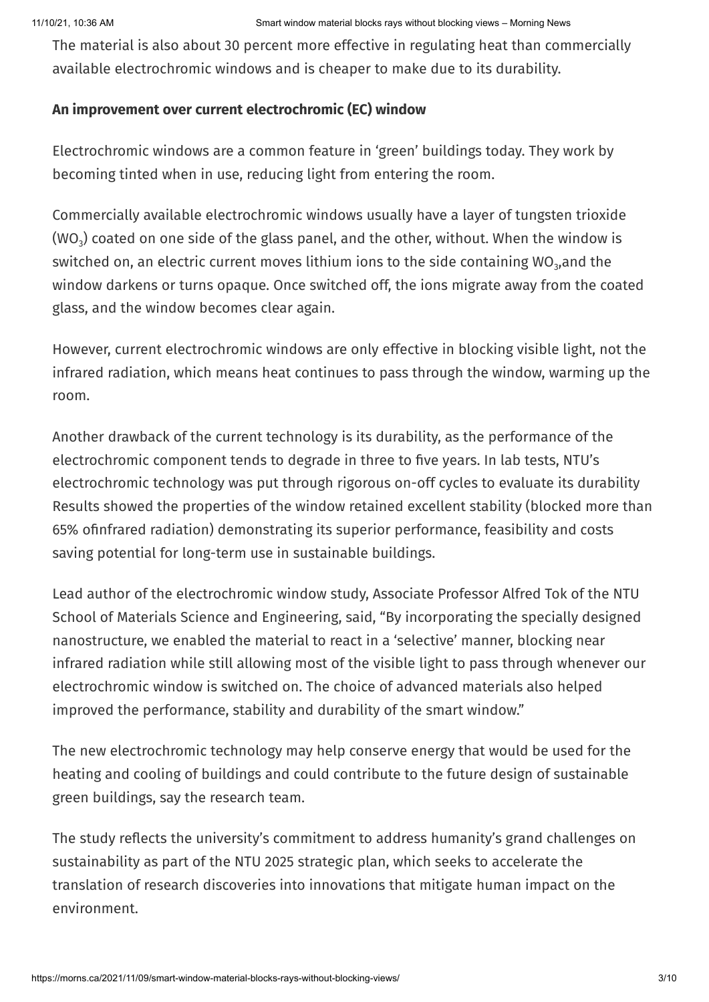The material is also about 30 percent more effective in regulating heat than commercially available electrochromic windows and is cheaper to make due to its durability.

## **An improvement over current electrochromic (EC) window**

Electrochromic windows are a common feature in 'green' buildings today. They work by becoming tinted when in use, reducing light from entering the room.

Commercially available electrochromic windows usually have a layer of tungsten trioxide (WO $_{\text{3}}$ ) coated on one side of the glass panel, and the other, without. When the window is switched on, an electric current moves lithium ions to the side containing WO $_{\rm 3}$ ,and the window darkens or turns opaque. Once switched off, the ions migrate away from the coated glass, and the window becomes clear again.

However, current electrochromic windows are only effective in blocking visible light, not the infrared radiation, which means heat continues to pass through the window, warming up the room.

Another drawback of the current technology is its durability, as the performance of the electrochromic component tends to degrade in three to five years. In lab tests, NTU's electrochromic technology was put through rigorous on-off cycles to evaluate its durability Results showed the properties of the window retained excellent stability (blocked more than 65% ofinfrared radiation) demonstrating its superior performance, feasibility and costs saving potential for long-term use in sustainable buildings.

Lead author of the electrochromic window study, Associate Professor Alfred Tok of the NTU School of Materials Science and Engineering, said, "By incorporating the specially designed nanostructure, we enabled the material to react in a 'selective' manner, blocking near infrared radiation while still allowing most of the visible light to pass through whenever our electrochromic window is switched on. The choice of advanced materials also helped improved the performance, stability and durability of the smart window."

The new electrochromic technology may help conserve energy that would be used for the heating and cooling of buildings and could contribute to the future design of sustainable green buildings, say the research team.

The study reflects the university's commitment to address humanity's grand challenges on sustainability as part of the NTU 2025 strategic plan, which seeks to accelerate the translation of research discoveries into innovations that mitigate human impact on the environment.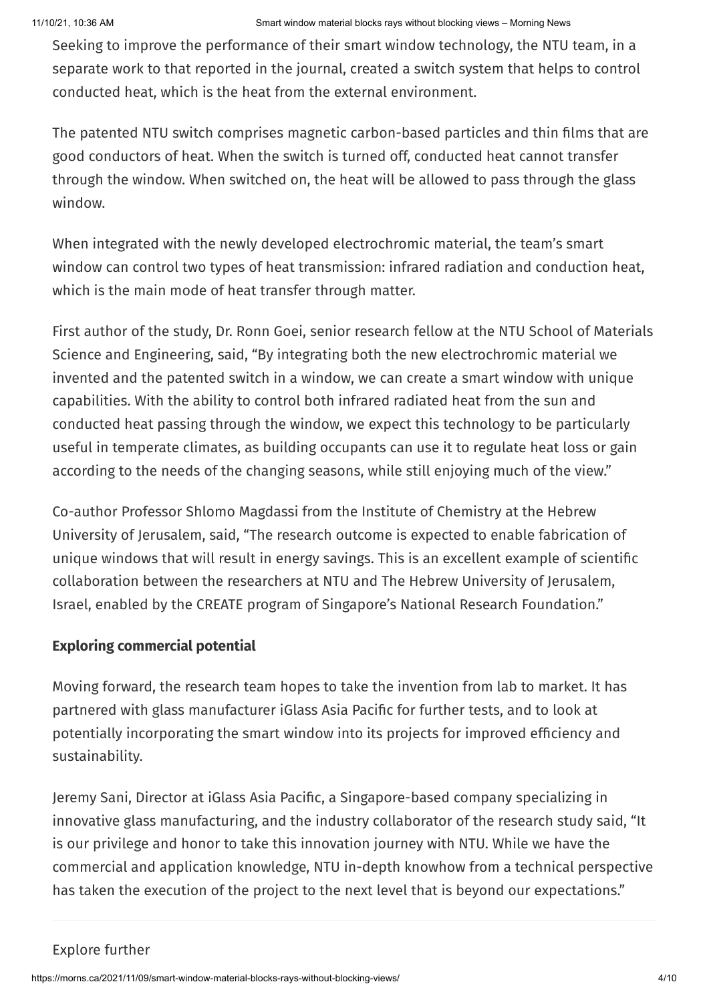Seeking to improve the performance of their smart window technology, the NTU team, in a separate work to that reported in the journal, created a switch system that helps to control conducted heat, which is the heat from the external environment.

The patented NTU switch comprises magnetic carbon-based particles and thin films that are good conductors of heat. When the switch is turned off, conducted heat cannot transfer through the window. When switched on, the heat will be allowed to pass through the glass window.

When integrated with the newly developed electrochromic material, the team's smart window can control two types of heat transmission: infrared radiation and conduction heat, which is the main mode of heat transfer through matter.

First author of the study, Dr. Ronn Goei, senior research fellow at the NTU School of Materials Science and Engineering, said, "By integrating both the new electrochromic material we invented and the patented switch in a window, we can create a smart window with unique capabilities. With the ability to control both infrared radiated heat from the sun and conducted heat passing through the window, we expect this technology to be particularly useful in temperate climates, as building occupants can use it to regulate heat loss or gain according to the needs of the changing seasons, while still enjoying much of the view."

Co-author Professor Shlomo Magdassi from the Institute of Chemistry at the Hebrew University of Jerusalem, said, "The research outcome is expected to enable fabrication of unique windows that will result in energy savings. This is an excellent example of scientific collaboration between the researchers at NTU and The Hebrew University of Jerusalem, Israel, enabled by the CREATE program of Singapore's National Research Foundation."

# **Exploring commercial potential**

Moving forward, the research team hopes to take the invention from lab to market. It has partnered with glass manufacturer iGlass Asia Pacific for further tests, and to look at potentially incorporating the smart window into its projects for improved efficiency and sustainability.

Jeremy Sani, Director at iGlass Asia Pacific, a Singapore-based company specializing in innovative glass manufacturing, and the industry collaborator of the research study said, "It is our privilege and honor to take this innovation journey with NTU. While we have the commercial and application knowledge, NTU in-depth knowhow from a technical perspective has taken the execution of the project to the next level that is beyond our expectations."

## Explore further